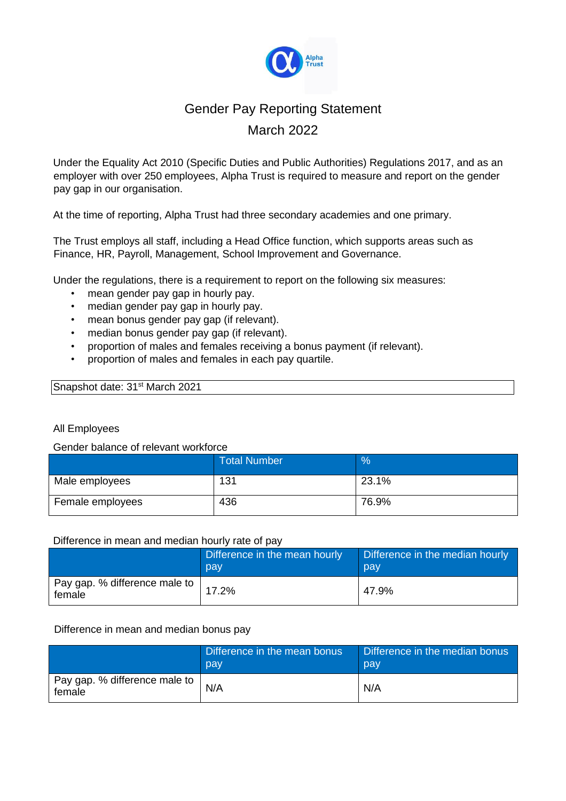

# Gender Pay Reporting Statement March 2022

Under the Equality Act 2010 (Specific Duties and Public Authorities) Regulations 2017, and as an employer with over 250 employees, Alpha Trust is required to measure and report on the gender pay gap in our organisation.

At the time of reporting, Alpha Trust had three secondary academies and one primary.

The Trust employs all staff, including a Head Office function, which supports areas such as Finance, HR, Payroll, Management, School Improvement and Governance.

Under the regulations, there is a requirement to report on the following six measures:

- mean gender pay gap in hourly pay.
- median gender pay gap in hourly pay.
- mean bonus gender pay gap (if relevant).
- median bonus gender pay gap (if relevant).
- proportion of males and females receiving a bonus payment (if relevant).
- proportion of males and females in each pay quartile.

# Snapshot date: 31<sup>st</sup> March 2021

## All Employees

#### Gender balance of relevant workforce

|                  | <b>Total Number</b> | $\%$  |
|------------------|---------------------|-------|
| Male employees   | 131                 | 23.1% |
| Female employees | 436                 | 76.9% |

#### Difference in mean and median hourly rate of pay

|                                         | Difference in the mean hourly<br>pay | Difference in the median hourly<br>pay |
|-----------------------------------------|--------------------------------------|----------------------------------------|
| Pay gap. % difference male to<br>female | 17.2%                                | 47.9%                                  |

#### Difference in mean and median bonus pay

|                                         | Difference in the mean bonus<br>pay | Difference in the median bonus<br>pay |
|-----------------------------------------|-------------------------------------|---------------------------------------|
| Pay gap. % difference male to<br>female | N/A                                 | N/A                                   |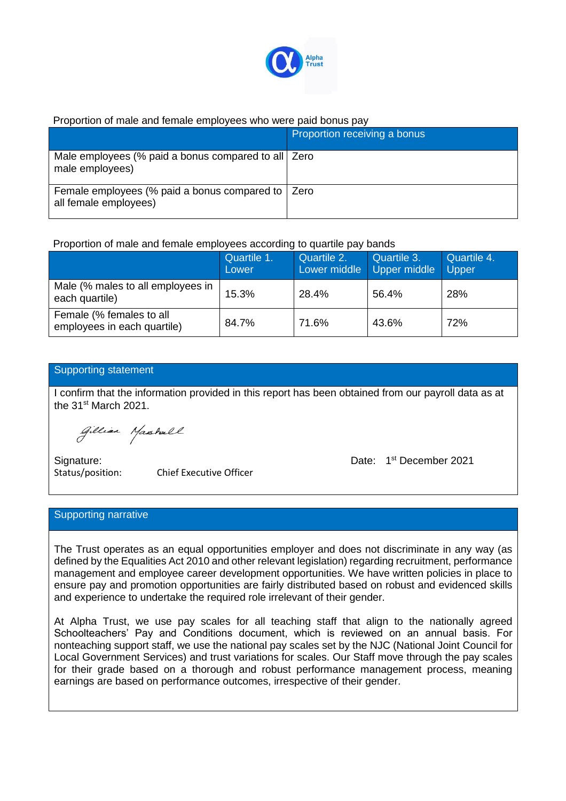

# Proportion of male and female employees who were paid bonus pay

|                                                                              | Proportion receiving a bonus |
|------------------------------------------------------------------------------|------------------------------|
| Male employees (% paid a bonus compared to all   Zero<br>male employees)     |                              |
| Female employees (% paid a bonus compared to   Zero<br>all female employees) |                              |

Proportion of male and female employees according to quartile pay bands

|                                                         | Quartile 1.<br>Lower | Quartile 2.<br>Lower middle | Quartile 3.<br>Upper middle | Quartile 4.<br>Upper |
|---------------------------------------------------------|----------------------|-----------------------------|-----------------------------|----------------------|
| Male (% males to all employees in<br>each quartile)     | 15.3%                | 28.4%                       | 56.4%                       | 28%                  |
| Female (% females to all<br>employees in each quartile) | 84.7%                | 71.6%                       | 43.6%                       | 72%                  |

# Supporting statement

I confirm that the information provided in this report has been obtained from our payroll data as at the 31<sup>st</sup> March 2021.

Gillian Masshall

Signature:

Status/position: Chief Executive Officer

Date: 1<sup>st</sup> December 2021

## Supporting narrative

The Trust operates as an equal opportunities employer and does not discriminate in any way (as defined by the Equalities Act 2010 and other relevant legislation) regarding recruitment, performance management and employee career development opportunities. We have written policies in place to ensure pay and promotion opportunities are fairly distributed based on robust and evidenced skills and experience to undertake the required role irrelevant of their gender.

At Alpha Trust, we use pay scales for all teaching staff that align to the nationally agreed Schoolteachers' Pay and Conditions document, which is reviewed on an annual basis. For nonteaching support staff, we use the national pay scales set by the NJC (National Joint Council for Local Government Services) and trust variations for scales. Our Staff move through the pay scales for their grade based on a thorough and robust performance management process, meaning earnings are based on performance outcomes, irrespective of their gender.